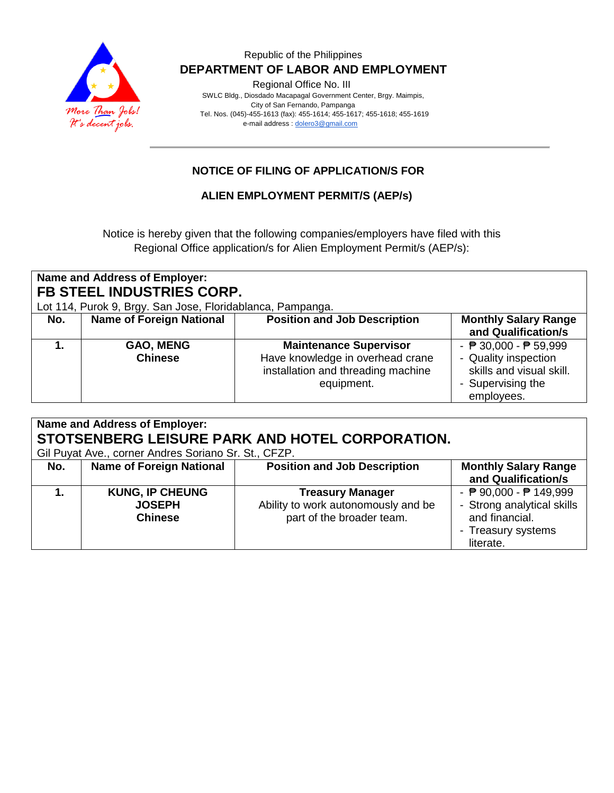

Regional Office No. III

 SWLC Bldg., Diosdado Macapagal Government Center, Brgy. Maimpis, City of San Fernando, Pampanga Tel. Nos. (045)-455-1613 (fax): 455-1614; 455-1617; 455-1618; 455-1619 e-mail address [: dolero3@gmail.com](mailto:dolero3@gmail.com)

## **NOTICE OF FILING OF APPLICATION/S FOR**

**ALIEN EMPLOYMENT PERMIT/S (AEP/s)**

Notice is hereby given that the following companies/employers have filed with this Regional Office application/s for Alien Employment Permit/s (AEP/s):

| Name and Address of Employer:<br>FB STEEL INDUSTRIES CORP.<br>Lot 114, Purok 9, Brgy. San Jose, Floridablanca, Pampanga. |                                    |                                                                                                                       |                                                                                                                                        |  |
|--------------------------------------------------------------------------------------------------------------------------|------------------------------------|-----------------------------------------------------------------------------------------------------------------------|----------------------------------------------------------------------------------------------------------------------------------------|--|
| No.                                                                                                                      | <b>Name of Foreign National</b>    | <b>Position and Job Description</b>                                                                                   | <b>Monthly Salary Range</b><br>and Qualification/s                                                                                     |  |
|                                                                                                                          | <b>GAO, MENG</b><br><b>Chinese</b> | <b>Maintenance Supervisor</b><br>Have knowledge in overhead crane<br>installation and threading machine<br>equipment. | - $\overline{P}$ 30,000 - $\overline{P}$ 59,999<br>- Quality inspection<br>skills and visual skill.<br>- Supervising the<br>employees. |  |

| Name and Address of Employer:<br>STOTSENBERG LEISURE PARK AND HOTEL CORPORATION.<br>Gil Puyat Ave., corner Andres Soriano Sr. St., CFZP. |                                                           |                                                                                             |                                                                                                               |  |
|------------------------------------------------------------------------------------------------------------------------------------------|-----------------------------------------------------------|---------------------------------------------------------------------------------------------|---------------------------------------------------------------------------------------------------------------|--|
| No.                                                                                                                                      | <b>Name of Foreign National</b>                           | <b>Position and Job Description</b>                                                         | <b>Monthly Salary Range</b><br>and Qualification/s                                                            |  |
|                                                                                                                                          | <b>KUNG, IP CHEUNG</b><br><b>JOSEPH</b><br><b>Chinese</b> | <b>Treasury Manager</b><br>Ability to work autonomously and be<br>part of the broader team. | - $P$ 90,000 - $P$ 149,999<br>- Strong analytical skills<br>and financial.<br>- Treasury systems<br>literate. |  |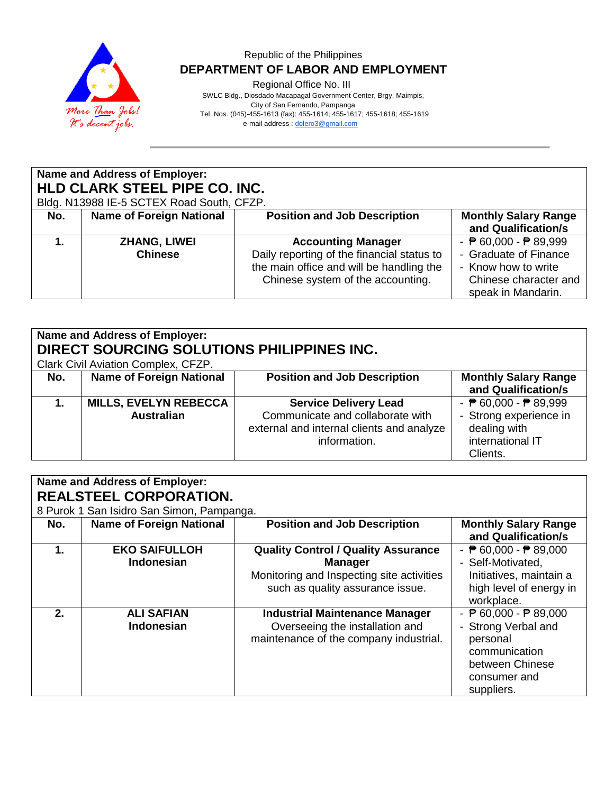

Regional Office No. III

 SWLC Bldg., Diosdado Macapagal Government Center, Brgy. Maimpis, City of San Fernando, Pampanga Tel. Nos. (045)-455-1613 (fax): 455-1614; 455-1617; 455-1618; 455-1619 e-mail address [: dolero3@gmail.com](mailto:dolero3@gmail.com)

| Name and Address of Employer:<br>HLD CLARK STEEL PIPE CO. INC.<br>Bldg. N13988 IE-5 SCTEX Road South, CFZP. |                                 |                                            |                                                 |  |
|-------------------------------------------------------------------------------------------------------------|---------------------------------|--------------------------------------------|-------------------------------------------------|--|
| No.                                                                                                         | <b>Name of Foreign National</b> | <b>Position and Job Description</b>        | <b>Monthly Salary Range</b>                     |  |
|                                                                                                             |                                 |                                            | and Qualification/s                             |  |
|                                                                                                             | <b>ZHANG, LIWEI</b>             | <b>Accounting Manager</b>                  | - $\overline{P}$ 60,000 - $\overline{P}$ 89,999 |  |
|                                                                                                             | <b>Chinese</b>                  | Daily reporting of the financial status to | - Graduate of Finance                           |  |
|                                                                                                             |                                 | the main office and will be handling the   | - Know how to write                             |  |
|                                                                                                             |                                 | Chinese system of the accounting.          | Chinese character and                           |  |
|                                                                                                             |                                 |                                            | speak in Mandarin.                              |  |

| Name and Address of Employer:<br>DIRECT SOURCING SOLUTIONS PHILIPPINES INC.<br>Clark Civil Aviation Complex, CFZP. |                                 |                                           |                                                 |  |
|--------------------------------------------------------------------------------------------------------------------|---------------------------------|-------------------------------------------|-------------------------------------------------|--|
| No.                                                                                                                | <b>Name of Foreign National</b> | <b>Position and Job Description</b>       | <b>Monthly Salary Range</b>                     |  |
|                                                                                                                    |                                 |                                           | and Qualification/s                             |  |
|                                                                                                                    | <b>MILLS, EVELYN REBECCA</b>    | <b>Service Delivery Lead</b>              | - $\overline{P}$ 60,000 - $\overline{P}$ 89,999 |  |
|                                                                                                                    | <b>Australian</b>               | Communicate and collaborate with          | - Strong experience in                          |  |
|                                                                                                                    |                                 | external and internal clients and analyze | dealing with                                    |  |
|                                                                                                                    |                                 | information.                              | international IT                                |  |
|                                                                                                                    |                                 |                                           | Clients.                                        |  |

| Name and Address of Employer:<br><b>REALSTEEL CORPORATION.</b> |                                           |                                                                                                                                               |                                                                                                                                                      |  |
|----------------------------------------------------------------|-------------------------------------------|-----------------------------------------------------------------------------------------------------------------------------------------------|------------------------------------------------------------------------------------------------------------------------------------------------------|--|
|                                                                | 8 Purok 1 San Isidro San Simon, Pampanga. |                                                                                                                                               |                                                                                                                                                      |  |
| No.                                                            | <b>Name of Foreign National</b>           | <b>Position and Job Description</b>                                                                                                           | <b>Monthly Salary Range</b><br>and Qualification/s                                                                                                   |  |
| 1.                                                             | <b>EKO SAIFULLOH</b><br><b>Indonesian</b> | <b>Quality Control / Quality Assurance</b><br><b>Manager</b><br>Monitoring and Inspecting site activities<br>such as quality assurance issue. | - $\overline{P}$ 60,000 - $\overline{P}$ 89,000<br>- Self-Motivated,<br>Initiatives, maintain a<br>high level of energy in<br>workplace.             |  |
| 2 <sub>1</sub>                                                 | <b>ALI SAFIAN</b><br><b>Indonesian</b>    | <b>Industrial Maintenance Manager</b><br>Overseeing the installation and<br>maintenance of the company industrial.                            | - $\overline{P}$ 60,000 - $\overline{P}$ 89,000<br>- Strong Verbal and<br>personal<br>communication<br>between Chinese<br>consumer and<br>suppliers. |  |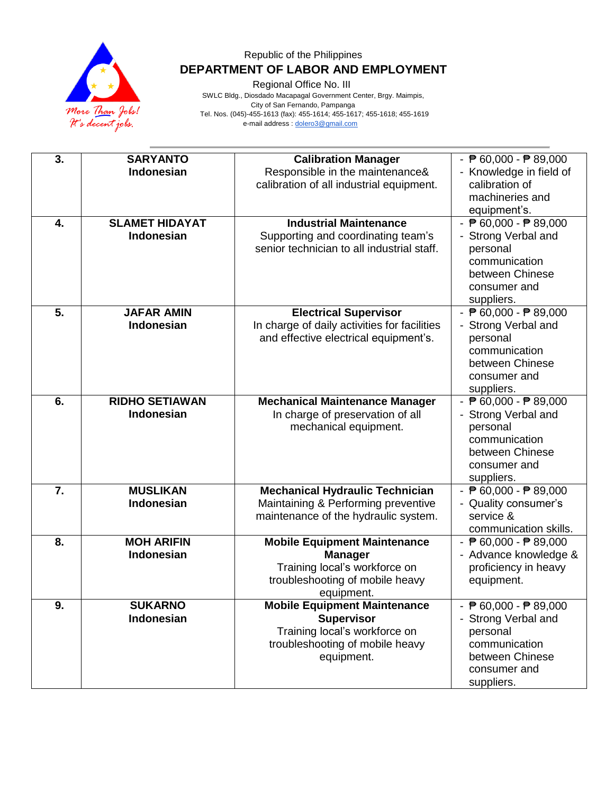

Regional Office No. III

 SWLC Bldg., Diosdado Macapagal Government Center, Brgy. Maimpis, City of San Fernando, Pampanga Tel. Nos. (045)-455-1613 (fax): 455-1614; 455-1617; 455-1618; 455-1619 e-mail address [: dolero3@gmail.com](mailto:dolero3@gmail.com)

| 3. | <b>SARYANTO</b><br>Indonesian              | <b>Calibration Manager</b><br>Responsible in the maintenance&<br>calibration of all industrial equipment.                                  | - $\sqrt{P}$ 60,000 - $\sqrt{P}$ 89,000<br>- Knowledge in field of<br>calibration of<br>machineries and<br>equipment's.                              |
|----|--------------------------------------------|--------------------------------------------------------------------------------------------------------------------------------------------|------------------------------------------------------------------------------------------------------------------------------------------------------|
| 4. | <b>SLAMET HIDAYAT</b><br><b>Indonesian</b> | <b>Industrial Maintenance</b><br>Supporting and coordinating team's<br>senior technician to all industrial staff.                          | - $\sqrt{P}$ 60,000 - $\sqrt{P}$ 89,000<br>- Strong Verbal and<br>personal<br>communication<br>between Chinese<br>consumer and<br>suppliers.         |
| 5. | <b>JAFAR AMIN</b><br>Indonesian            | <b>Electrical Supervisor</b><br>In charge of daily activities for facilities<br>and effective electrical equipment's.                      | - $\sqrt{P}$ 60,000 - $\sqrt{P}$ 89,000<br>- Strong Verbal and<br>personal<br>communication<br>between Chinese<br>consumer and<br>suppliers.         |
| 6. | <b>RIDHO SETIAWAN</b><br>Indonesian        | <b>Mechanical Maintenance Manager</b><br>In charge of preservation of all<br>mechanical equipment.                                         | - $\overline{P}$ 60,000 - $\overline{P}$ 89,000<br>- Strong Verbal and<br>personal<br>communication<br>between Chinese<br>consumer and<br>suppliers. |
| 7. | <b>MUSLIKAN</b><br>Indonesian              | <b>Mechanical Hydraulic Technician</b><br>Maintaining & Performing preventive<br>maintenance of the hydraulic system.                      | - $\sqrt{P}$ 60,000 - $\sqrt{P}$ 89,000<br>- Quality consumer's<br>service &<br>communication skills.                                                |
| 8. | <b>MOH ARIFIN</b><br>Indonesian            | <b>Mobile Equipment Maintenance</b><br><b>Manager</b><br>Training local's workforce on<br>troubleshooting of mobile heavy<br>equipment.    | - $\sqrt{P}$ 60,000 - $\sqrt{P}$ 89,000<br>- Advance knowledge &<br>proficiency in heavy<br>equipment.                                               |
| 9. | <b>SUKARNO</b><br>Indonesian               | <b>Mobile Equipment Maintenance</b><br><b>Supervisor</b><br>Training local's workforce on<br>troubleshooting of mobile heavy<br>equipment. | - $\overline{P}$ 60,000 - $\overline{P}$ 89,000<br>- Strong Verbal and<br>personal<br>communication<br>between Chinese<br>consumer and<br>suppliers. |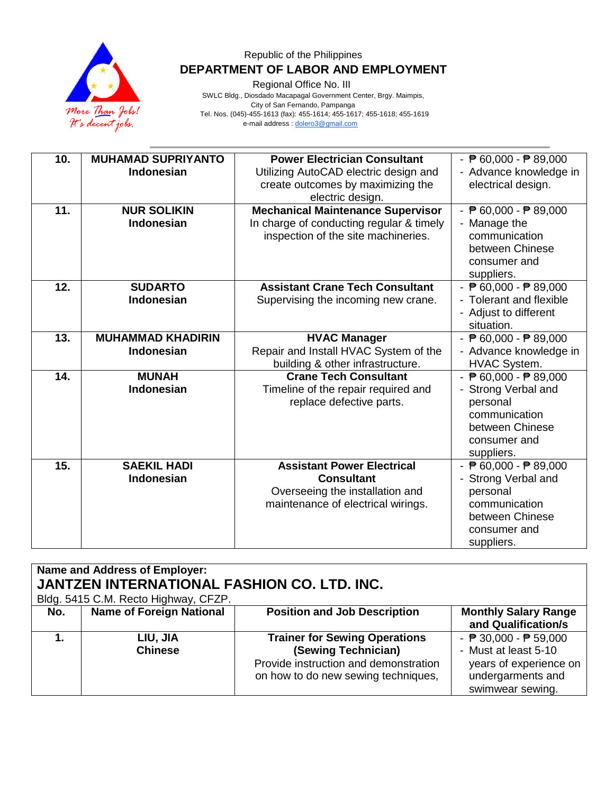

Regional Office No. III

 SWLC Bldg., Diosdado Macapagal Government Center, Brgy. Maimpis, City of San Fernando, Pampanga Tel. Nos. (045)-455-1613 (fax): 455-1614; 455-1617; 455-1618; 455-1619 e-mail address [: dolero3@gmail.com](mailto:dolero3@gmail.com)

| 10. | <b>MUHAMAD SUPRIYANTO</b><br><b>Indonesian</b> | <b>Power Electrician Consultant</b><br>Utilizing AutoCAD electric design and | - $\overline{P}$ 60,000 - $\overline{P}$ 89,000<br>- Advance knowledge in |
|-----|------------------------------------------------|------------------------------------------------------------------------------|---------------------------------------------------------------------------|
|     |                                                | create outcomes by maximizing the<br>electric design.                        | electrical design.                                                        |
| 11. | <b>NUR SOLIKIN</b>                             | <b>Mechanical Maintenance Supervisor</b>                                     | - $\overline{P}$ 60,000 - $\overline{P}$ 89,000                           |
|     | Indonesian                                     | In charge of conducting regular & timely                                     | Manage the                                                                |
|     |                                                | inspection of the site machineries.                                          | communication                                                             |
|     |                                                |                                                                              | between Chinese                                                           |
|     |                                                |                                                                              | consumer and                                                              |
|     |                                                |                                                                              | suppliers.                                                                |
| 12. | <b>SUDARTO</b>                                 | <b>Assistant Crane Tech Consultant</b>                                       | - $\overline{P}$ 60,000 - $\overline{P}$ 89,000                           |
|     | Indonesian                                     | Supervising the incoming new crane.                                          | - Tolerant and flexible                                                   |
|     |                                                |                                                                              | - Adjust to different<br>situation.                                       |
|     |                                                |                                                                              |                                                                           |
| 13. | <b>MUHAMMAD KHADIRIN</b>                       | <b>HVAC Manager</b>                                                          | - $\sqrt{P}$ 60,000 - $\sqrt{P}$ 89,000                                   |
|     | <b>Indonesian</b>                              | Repair and Install HVAC System of the                                        | - Advance knowledge in                                                    |
| 14. | <b>MUNAH</b>                                   | building & other infrastructure.<br><b>Crane Tech Consultant</b>             | HVAC System.                                                              |
|     | Indonesian                                     |                                                                              | - $\sqrt{P}$ 60,000 - $\sqrt{P}$ 89,000                                   |
|     |                                                | Timeline of the repair required and<br>replace defective parts.              | Strong Verbal and<br>personal                                             |
|     |                                                |                                                                              | communication                                                             |
|     |                                                |                                                                              | between Chinese                                                           |
|     |                                                |                                                                              | consumer and                                                              |
|     |                                                |                                                                              | suppliers.                                                                |
| 15. | <b>SAEKIL HADI</b>                             | <b>Assistant Power Electrical</b>                                            | - $\sqrt{P}$ 60,000 - $\sqrt{P}$ 89,000                                   |
|     | Indonesian                                     | <b>Consultant</b>                                                            | - Strong Verbal and                                                       |
|     |                                                | Overseeing the installation and                                              | personal                                                                  |
|     |                                                | maintenance of electrical wirings.                                           | communication                                                             |
|     |                                                |                                                                              | between Chinese                                                           |
|     |                                                |                                                                              | consumer and                                                              |
|     |                                                |                                                                              | suppliers.                                                                |

| Name and Address of Employer:<br><b>JANTZEN INTERNATIONAL FASHION CO. LTD. INC.</b><br>Bldg. 5415 C.M. Recto Highway, CFZP. |                                 |                                       |                                                 |  |
|-----------------------------------------------------------------------------------------------------------------------------|---------------------------------|---------------------------------------|-------------------------------------------------|--|
| No.                                                                                                                         | <b>Name of Foreign National</b> | <b>Position and Job Description</b>   | <b>Monthly Salary Range</b>                     |  |
|                                                                                                                             |                                 |                                       | and Qualification/s                             |  |
|                                                                                                                             | LIU, JIA                        | <b>Trainer for Sewing Operations</b>  | - $\overline{P}$ 30,000 - $\overline{P}$ 59,000 |  |
|                                                                                                                             | <b>Chinese</b>                  | (Sewing Technician)                   | - Must at least 5-10                            |  |
|                                                                                                                             |                                 | Provide instruction and demonstration | years of experience on                          |  |
|                                                                                                                             |                                 | on how to do new sewing techniques,   | undergarments and                               |  |
|                                                                                                                             |                                 |                                       | swimwear sewing.                                |  |